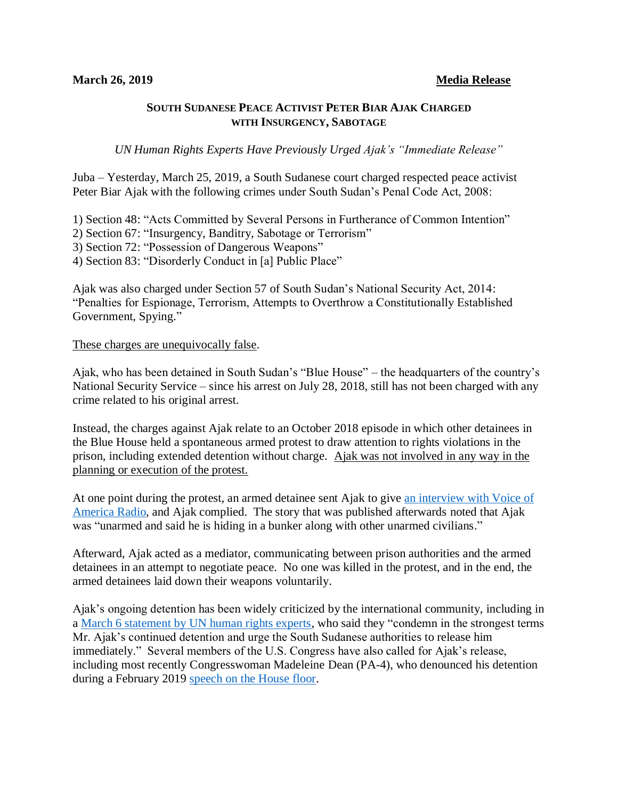## **SOUTH SUDANESE PEACE ACTIVIST PETER BIAR AJAK CHARGED WITH INSURGENCY, SABOTAGE**

*UN Human Rights Experts Have Previously Urged Ajak's "Immediate Release"*

Juba – Yesterday, March 25, 2019, a South Sudanese court charged respected peace activist Peter Biar Ajak with the following crimes under South Sudan's Penal Code Act, 2008:

1) Section 48: "Acts Committed by Several Persons in Furtherance of Common Intention"

- 2) Section 67: "Insurgency, Banditry, Sabotage or Terrorism"
- 3) Section 72: "Possession of Dangerous Weapons"
- 4) Section 83: "Disorderly Conduct in [a] Public Place"

Ajak was also charged under Section 57 of South Sudan's National Security Act, 2014: "Penalties for Espionage, Terrorism, Attempts to Overthrow a Constitutionally Established Government, Spying."

## These charges are unequivocally false.

Ajak, who has been detained in South Sudan's "Blue House" – the headquarters of the country's National Security Service – since his arrest on July 28, 2018, still has not been charged with any crime related to his original arrest.

Instead, the charges against Ajak relate to an October 2018 episode in which other detainees in the Blue House held a spontaneous armed protest to draw attention to rights violations in the prison, including extended detention without charge. Ajak was not involved in any way in the planning or execution of the protest.

At one point during the protest, an armed detainee sent Ajak to give [an interview with Voice of](https://www.voanews.com/a/prison-standoff-in-south-sudan-blue-house/4603052.html)  [America Radio,](https://www.voanews.com/a/prison-standoff-in-south-sudan-blue-house/4603052.html) and Ajak complied. The story that was published afterwards noted that Ajak was "unarmed and said he is hiding in a bunker along with other unarmed civilians."

Afterward, Ajak acted as a mediator, communicating between prison authorities and the armed detainees in an attempt to negotiate peace. No one was killed in the protest, and in the end, the armed detainees laid down their weapons voluntarily.

Ajak's ongoing detention has been widely criticized by the international community, including in a [March 6 statement by UN human rights experts,](https://www.ohchr.org/EN/NewsEvents/Pages/DisplayNews.aspx?NewsID=24268&LangID=E) who said they "condemn in the strongest terms Mr. Ajak's continued detention and urge the South Sudanese authorities to release him immediately." Several members of the U.S. Congress have also called for Ajak's release, including most recently Congresswoman Madeleine Dean (PA-4), who denounced his detention during a February 2019 [speech on the House floor.](https://www.facebook.com/RepMadeleineDean/videos/rep-dean-speaks-on-peter-biar-ajak/540787286424949/)